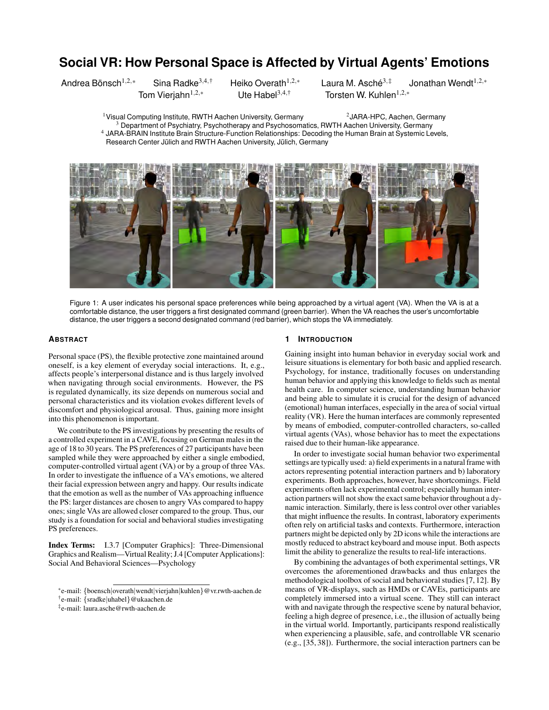# **Social VR: How Personal Space is Affected by Virtual Agents' Emotions**

Andrea Bönsch $1,2,*$ 

Sina Radke<sup>3,4,†</sup> Heiko Overath<sup>1,2,∗</sup> Laura M. Asché<sup>3,‡</sup>

Jonathan Wendt<sup>1,2,∗</sup> Tom Vierjahn<sup>1,2,∗</sup> Ute Habel<sup>3,4,†</sup> Torsten W. Kuhlen<sup>1,2,∗</sup>

<sup>1</sup> Visual Computing Institute, RWTH Aachen University, Germany <sup>2</sup>JARA-HPC, Aachen, Germany  $3$  Department of Psychiatry, Psychotherapy and Psychosomatics, RWTH Aachen University, Germany <sup>4</sup> JARA-BRAIN Institute Brain Structure-Function Relationships: Decoding the Human Brain at Systemic Levels, Research Center Jülich and RWTH Aachen University, Jülich, Germany



Figure 1: A user indicates his personal space preferences while being approached by a virtual agent (VA). When the VA is at a comfortable distance, the user triggers a first designated command (green barrier). When the VA reaches the user's uncomfortable distance, the user triggers a second designated command (red barrier), which stops the VA immediately.

# <span id="page-0-0"></span>**ABSTRACT**

Personal space (PS), the flexible protective zone maintained around oneself, is a key element of everyday social interactions. It, e.g., affects people's interpersonal distance and is thus largely involved when navigating through social environments. However, the PS is regulated dynamically, its size depends on numerous social and personal characteristics and its violation evokes different levels of discomfort and physiological arousal. Thus, gaining more insight into this phenomenon is important.

We contribute to the PS investigations by presenting the results of a controlled experiment in a CAVE, focusing on German males in the age of 18 to 30 years. The PS preferences of 27 participants have been sampled while they were approached by either a single embodied, computer-controlled virtual agent (VA) or by a group of three VAs. In order to investigate the influence of a VA's emotions, we altered their facial expression between angry and happy. Our results indicate that the emotion as well as the number of VAs approaching influence the PS: larger distances are chosen to angry VAs compared to happy ones; single VAs are allowed closer compared to the group. Thus, our study is a foundation for social and behavioral studies investigating PS preferences.

Index Terms: I.3.7 [Computer Graphics]: Three-Dimensional Graphics and Realism—Virtual Reality; J.4 [Computer Applications]: Social And Behavioral Sciences—Psychology

# **1 INTRODUCTION**

Gaining insight into human behavior in everyday social work and leisure situations is elementary for both basic and applied research. Psychology, for instance, traditionally focuses on understanding human behavior and applying this knowledge to fields such as mental health care. In computer science, understanding human behavior and being able to simulate it is crucial for the design of advanced (emotional) human interfaces, especially in the area of social virtual reality (VR). Here the human interfaces are commonly represented by means of embodied, computer-controlled characters, so-called virtual agents (VAs), whose behavior has to meet the expectations raised due to their human-like appearance.

In order to investigate social human behavior two experimental settings are typically used: a) field experiments in a natural frame with actors representing potential interaction partners and b) laboratory experiments. Both approaches, however, have shortcomings. Field experiments often lack experimental control; especially human interaction partners will not show the exact same behavior throughout a dynamic interaction. Similarly, there is less control over other variables that might influence the results. In contrast, laboratory experiments often rely on artificial tasks and contexts. Furthermore, interaction partners might be depicted only by 2D icons while the interactions are mostly reduced to abstract keyboard and mouse input. Both aspects limit the ability to generalize the results to real-life interactions.

By combining the advantages of both experimental settings, VR overcomes the aforementioned drawbacks and thus enlarges the methodological toolbox of social and behavioral studies [\[7,](#page-6-0) [12\]](#page-6-1). By means of VR-displays, such as HMDs or CAVEs, participants are completely immersed into a virtual scene. They still can interact with and navigate through the respective scene by natural behavior, feeling a high degree of presence, i.e., the illusion of actually being in the virtual world. Importantly, participants respond realistically when experiencing a plausible, safe, and controllable VR scenario (e.g., [\[35,](#page-7-0) [38\]](#page-7-1)). Furthermore, the social interaction partners can be

<sup>\*</sup>e-mail: {boensch|overath|wendt|vierjahn|kuhlen}@vr.rwth-aachen.de

<sup>†</sup> e-mail: {sradke|uhabel}@ukaachen.de

<sup>‡</sup> e-mail: laura.asche@rwth-aachen.de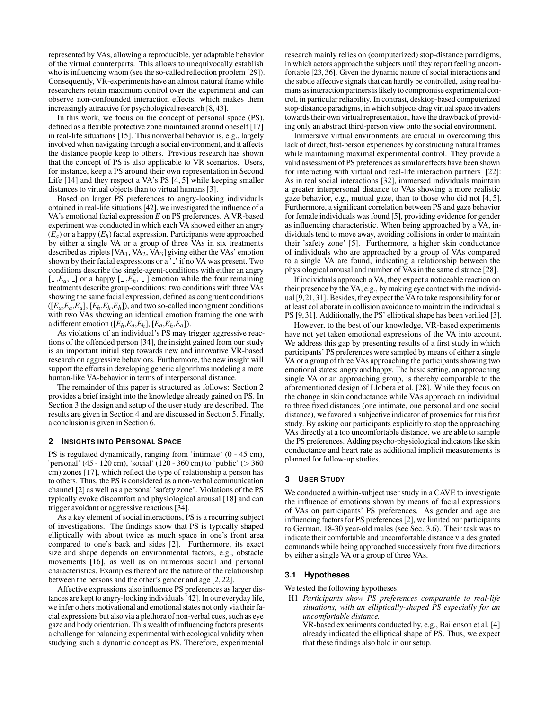represented by VAs, allowing a reproducible, yet adaptable behavior of the virtual counterparts. This allows to unequivocally establish who is influencing whom (see the so-called reflection problem [\[29\]](#page-6-2)). Consequently, VR-experiments have an almost natural frame while researchers retain maximum control over the experiment and can observe non-confounded interaction effects, which makes them increasingly attractive for psychological research [\[8,](#page-6-3) [43\]](#page-7-2).

In this work, we focus on the concept of personal space (PS), defined as a flexible protective zone maintained around oneself [\[17\]](#page-6-4) in real-life situations [\[15\]](#page-6-5). This nonverbal behavior is, e.g., largely involved when navigating through a social environment, and it affects the distance people keep to others. Previous research has shown that the concept of PS is also applicable to VR scenarios. Users, for instance, keep a PS around their own representation in Second Life [\[14\]](#page-6-6) and they respect a VA's PS [\[4,](#page-6-7) [5\]](#page-6-8) while keeping smaller distances to virtual objects than to virtual humans [\[3\]](#page-6-9).

Based on larger PS preferences to angry-looking individuals obtained in real-life situations [\[42\]](#page-7-3), we investigated the influence of a VA's emotional facial expression *E* on PS preferences. A VR-based experiment was conducted in which each VA showed either an angry  $(E_a)$  or a happy  $(E_h)$  facial expression. Participants were approached by either a single VA or a group of three VAs in six treatments described as triplets  $[VA<sub>1</sub>, VA<sub>2</sub>, VA<sub>3</sub>]$  giving either the VAs' emotion shown by their facial expressions or a ' ' if no VA was present. Two conditions describe the single-agent-conditions with either an angry  $[-,E_a, -]$  or a happy  $[-,E_h, -]$  emotion while the four remaining treatments describe group-conditions: two conditions with three VAs showing the same facial expression, defined as congruent conditions  $(E_a, E_a, E_a]$ ,  $[E_h, E_h, E_h]$ ), and two so-called incongruent conditions with two VAs showing an identical emotion framing the one with a different emotion ( $[E_h, E_a, E_h]$ ,  $[E_a, E_h, E_a]$ ).

As violations of an individual's PS may trigger aggressive reactions of the offended person [\[34\]](#page-7-4), the insight gained from our study is an important initial step towards new and innovative VR-based research on aggressive behaviors. Furthermore, the new insight will support the efforts in developing generic algorithms modeling a more human-like VA-behavior in terms of interpersonal distance.

The remainder of this paper is structured as follows: Section [2](#page-1-0) provides a brief insight into the knowledge already gained on PS. In Section [3](#page-1-1) the design and setup of the user study are described. The results are given in Section [4](#page-3-0) and are discussed in Section [5.](#page-5-0) Finally, a conclusion is given in Section [6.](#page-6-10)

# <span id="page-1-0"></span>**2 INSIGHTS INTO PERSONAL SPACE**

PS is regulated dynamically, ranging from 'intimate' (0 - 45 cm), 'personal' (45 - 120 cm), 'social' (120 - 360 cm) to 'public' (> 360 cm) zones [\[17\]](#page-6-4), which reflect the type of relationship a person has to others. Thus, the PS is considered as a non-verbal communication channel [\[2\]](#page-6-11) as well as a personal 'safety zone'. Violations of the PS typically evoke discomfort and physiological arousal [\[18\]](#page-6-12) and can trigger avoidant or aggressive reactions [\[34\]](#page-7-4).

As a key element of social interactions, PS is a recurring subject of investigations. The findings show that PS is typically shaped elliptically with about twice as much space in one's front area compared to one's back and sides [\[2\]](#page-6-11). Furthermore, its exact size and shape depends on environmental factors, e.g., obstacle movements [\[16\]](#page-6-13), as well as on numerous social and personal characteristics. Examples thereof are the nature of the relationship between the persons and the other's gender and age [\[2,](#page-6-11) [22\]](#page-6-14).

Affective expressions also influence PS preferences as larger distances are kept to angry-looking individuals [\[42\]](#page-7-3). In our everyday life, we infer others motivational and emotional states not only via their facial expressions but also via a plethora of non-verbal cues, such as eye gaze and body orientation. This wealth of influencing factors presents a challenge for balancing experimental with ecological validity when studying such a dynamic concept as PS. Therefore, experimental

research mainly relies on (computerized) stop-distance paradigms, in which actors approach the subjects until they report feeling uncomfortable [\[23,](#page-6-15) [36\]](#page-7-5). Given the dynamic nature of social interactions and the subtle affective signals that can hardly be controlled, using real humans as interaction partners is likely to compromise experimental control, in particular reliability. In contrast, desktop-based computerized stop-distance paradigms, in which subjects drag virtual space invaders towards their own virtual representation, have the drawback of providing only an abstract third-person view onto the social environment.

Immersive virtual environments are crucial in overcoming this lack of direct, first-person experiences by constructing natural frames while maintaining maximal experimental control. They provide a valid assessment of PS preferences as similar effects have been shown for interacting with virtual and real-life interaction partners [\[22\]](#page-6-14): As in real social interactions [\[32\]](#page-7-6), immersed individuals maintain a greater interpersonal distance to VAs showing a more realistic gaze behavior, e.g., mutual gaze, than to those who did not [\[4,](#page-6-7) [5\]](#page-6-8). Furthermore, a significant correlation between PS and gaze behavior for female individuals was found [\[5\]](#page-6-8), providing evidence for gender as influencing characteristic. When being approached by a VA, individuals tend to move away, avoiding collisions in order to maintain their 'safety zone' [\[5\]](#page-6-8). Furthermore, a higher skin conductance of individuals who are approached by a group of VAs compared to a single VA are found, indicating a relationship between the physiological arousal and number of VAs in the same distance [\[28\]](#page-6-16).

If individuals approach a VA, they expect a noticeable reaction on their presence by the VA, e.g., by making eye contact with the individual [\[9](#page-6-17)[,21,](#page-6-18)[31\]](#page-7-7). Besides, they expect the VA to take responsibility for or at least collaborate in collision avoidance to maintain the individual's PS [\[9,](#page-6-17) [31\]](#page-7-7). Additionally, the PS' elliptical shape has been verified [\[3\]](#page-6-9).

However, to the best of our knowledge, VR-based experiments have not yet taken emotional expressions of the VA into account. We address this gap by presenting results of a first study in which participants' PS preferences were sampled by means of either a single VA or a group of three VAs approaching the participants showing two emotional states: angry and happy. The basic setting, an approaching single VA or an approaching group, is thereby comparable to the aforementioned design of Llobera et al. [\[28\]](#page-6-16). While they focus on the change in skin conductance while VAs approach an individual to three fixed distances (one intimate, one personal and one social distance), we favored a subjective indicator of proxemics for this first study. By asking our participants explicitly to stop the approaching VAs directly at a too uncomfortable distance, we are able to sample the PS preferences. Adding psycho-physiological indicators like skin conductance and heart rate as additional implicit measurements is planned for follow-up studies.

## <span id="page-1-1"></span>**3 USER STUDY**

We conducted a within-subject user study in a CAVE to investigate the influence of emotions shown by means of facial expressions of VAs on participants' PS preferences. As gender and age are influencing factors for PS preferences [\[2\]](#page-6-11), we limited our participants to German, 18-30 year-old males (see Sec. [3.6\)](#page-3-1). Their task was to indicate their comfortable and uncomfortable distance via designated commands while being approached successively from five directions by either a single VA or a group of three VAs.

# **3.1 Hypotheses**

We tested the following hypotheses:

H1 *Participants show PS preferences comparable to real-life situations, with an elliptically-shaped PS especially for an uncomfortable distance.*

VR-based experiments conducted by, e.g., Bailenson et al. [\[4\]](#page-6-7) already indicated the elliptical shape of PS. Thus, we expect that these findings also hold in our setup.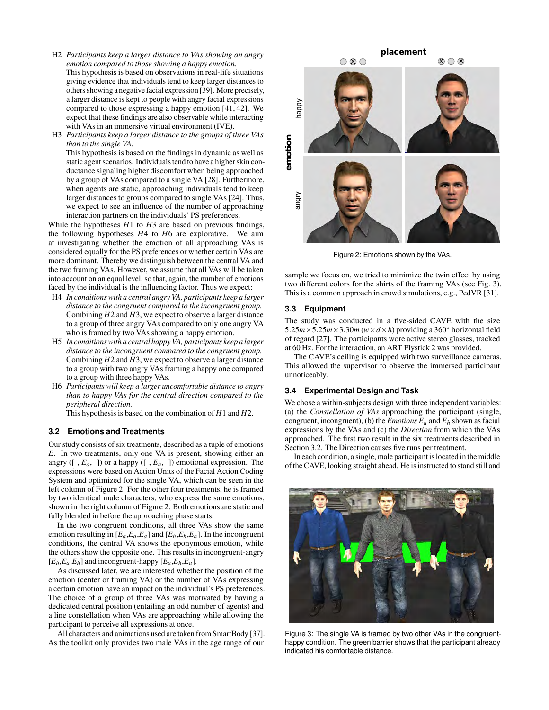- H2 *Participants keep a larger distance to VAs showing an angry emotion compared to those showing a happy emotion.* This hypothesis is based on observations in real-life situations giving evidence that individuals tend to keep larger distances to others showing a negative facial expression [\[39\]](#page-7-8). More precisely, a larger distance is kept to people with angry facial expressions compared to those expressing a happy emotion [\[41,](#page-7-9) [42\]](#page-7-3). We expect that these findings are also observable while interacting with VAs in an immersive virtual environment (IVE).
- H3 *Participants keep a larger distance to the groups of three VAs than to the single VA.*

This hypothesis is based on the findings in dynamic as well as static agent scenarios. Individuals tend to have a higher skin conductance signaling higher discomfort when being approached by a group of VAs compared to a single VA [\[28\]](#page-6-16). Furthermore, when agents are static, approaching individuals tend to keep larger distances to groups compared to single VAs [\[24\]](#page-6-19). Thus, we expect to see an influence of the number of approaching interaction partners on the individuals' PS preferences.

While the hypotheses *H*1 to *H*3 are based on previous findings, the following hypotheses *H*4 to *H*6 are explorative. We aim at investigating whether the emotion of all approaching VAs is considered equally for the PS preferences or whether certain VAs are more dominant. Thereby we distinguish between the central VA and the two framing VAs. However, we assume that all VAs will be taken into account on an equal level, so that, again, the number of emotions faced by the individual is the influencing factor. Thus we expect:

- H4 *In conditions with a central angry VA, participants keep a larger distance to the congruent compared to the incongruent group.* Combining *H*2 and *H*3, we expect to observe a larger distance to a group of three angry VAs compared to only one angry VA who is framed by two VAs showing a happy emotion.
- H5 *In conditions with a central happy VA, participants keep a larger distance to the incongruent compared to the congruent group.* Combining *H*2 and *H*3, we expect to observe a larger distance to a group with two angry VAs framing a happy one compared to a group with three happy VAs.
- H6 *Participants will keep a larger uncomfortable distance to angry than to happy VAs for the central direction compared to the peripheral direction.*

This hypothesis is based on the combination of *H*1 and *H*2.

# <span id="page-2-2"></span>**3.2 Emotions and Treatments**

Our study consists of six treatments, described as a tuple of emotions *E*. In two treatments, only one VA is present, showing either an angry ( $[-, E_a, -]$ ) or a happy ( $[-, E_h, -]$ ) emotional expression. The expressions were based on Action Units of the Facial Action Coding System and optimized for the single VA, which can be seen in the left column of Figure [2.](#page-2-0) For the other four treatments, he is framed by two identical male characters, who express the same emotions, shown in the right column of Figure [2.](#page-2-0) Both emotions are static and fully blended in before the approaching phase starts. a the constrained in the toological streament (N-1). We also the streament of the streament of the streament of the streament of the age range of our happy and the streament of the age range of the age range of our happy

In the two congruent conditions, all three VAs show the same emotion resulting in  $[E_a, E_a, E_a]$  and  $[E_h, E_h, E_h]$ . In the incongruent conditions, the central VA shows the eponymous emotion, while the others show the opposite one. This results in incongruent-angry  $[E_h, E_a, E_h]$  and incongruent-happy  $[E_a, E_h, E_a]$ .

As discussed later, we are interested whether the position of the emotion (center or framing VA) or the number of VAs expressing a certain emotion have an impact on the individual's PS preferences. The choice of a group of three VAs was motivated by having a dedicated central position (entailing an odd number of agents) and a line constellation when VAs are approaching while allowing the participant to perceive all expressions at once.

All characters and animations used are taken from SmartBody [\[37\]](#page-7-10).



<span id="page-2-0"></span>Figure 2: Emotions shown by the VAs.

sample we focus on, we tried to minimize the twin effect by using two different colors for the shirts of the framing VAs (see Fig. [3\)](#page-2-1). This is a common approach in crowd simulations, e.g., PedVR [\[31\]](#page-7-7).

# **3.3 Equipment**

The study was conducted in a five-sided CAVE with the size 5.25 $m \times$ 5.25 $m \times$ 3.30 $m$  ( $w \times d \times h$ ) providing a 360 $^{\circ}$  horizontal field of regard [\[27\]](#page-6-20). The participants wore active stereo glasses, tracked at 60 Hz. For the interaction, an ART Flystick 2 was provided.

The CAVE's ceiling is equipped with two surveillance cameras. This allowed the supervisor to observe the immersed participant unnoticeably.

# **3.4 Experimental Design and Task**

We chose a within-subjects design with three independent variables: (a) the *Constellation of VAs* approaching the participant (single, congruent, incongruent), (b) the *Emotions*  $E_a$  and  $E_b$  shown as facial expressions by the VAs and (c) the *Direction* from which the VAs approached. The first two result in the six treatments described in Section [3.2.](#page-2-2) The Direction causes five runs per treatment.

In each condition, a single, male participant is located in the middle of the CAVE, looking straight ahead. He is instructed to stand still and

<span id="page-2-1"></span>

Figure 3: The single VA is framed by two other VAs in the congruenthappy condition. The green barrier shows that the participant already indicated his comfortable distance.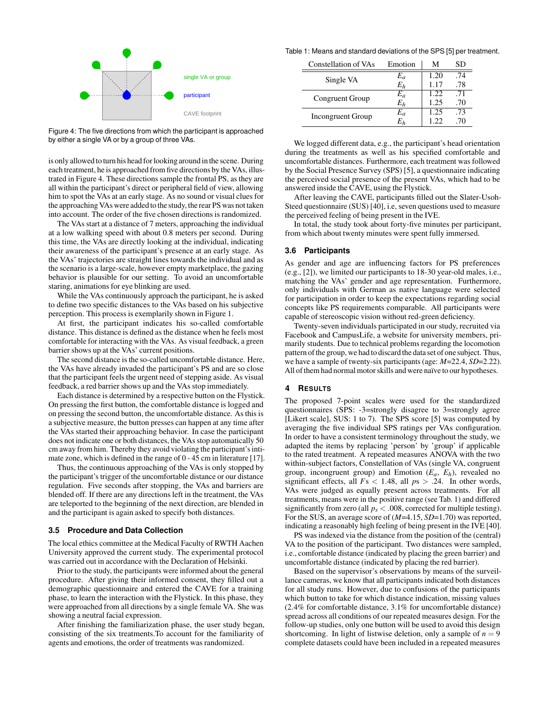

<span id="page-3-2"></span>Figure 4: The five directions from which the participant is approached by either a single VA or by a group of three VAs.

is only allowed to turn his head for looking around in the scene. During each treatment, he is approached from five directions by the VAs, illustrated in Figure [4.](#page-3-2) These directions sample the frontal PS, as they are all within the participant's direct or peripheral field of view, allowing him to spot the VAs at an early stage. As no sound or visual clues for the approaching VAs were added to the study, the rear PS was not taken into account. The order of the five chosen directions is randomized.

The VAs start at a distance of 7 meters, approaching the individual at a low walking speed with about 0.8 meters per second. During this time, the VAs are directly looking at the individual, indicating their awareness of the participant's presence at an early stage. As the VAs' trajectories are straight lines towards the individual and as the scenario is a large-scale, however empty marketplace, the gazing behavior is plausible for our setting. To avoid an uncomfortable staring, animations for eye blinking are used.

While the VAs continuously approach the participant, he is asked to define two specific distances to the VAs based on his subjective perception. This process is exemplarily shown in Figure [1.](#page-0-0)

At first, the participant indicates his so-called comfortable distance. This distance is defined as the distance when he feels most comfortable for interacting with the VAs. As visual feedback, a green barrier shows up at the VAs' current positions.

The second distance is the so-called uncomfortable distance. Here, the VAs have already invaded the participant's PS and are so close that the participant feels the urgent need of stepping aside. As visual feedback, a red barrier shows up and the VAs stop immediately.

Each distance is determined by a respective button on the Flystick. On pressing the first button, the comfortable distance is logged and on pressing the second button, the uncomfortable distance. As this is a subjective measure, the button presses can happen at any time after the VAs started their approaching behavior. In case the participant does not indicate one or both distances, the VAs stop automatically 50 cm away from him. Thereby they avoid violating the participant's intimate zone, which is defined in the range of 0 - 45 cm in literature [\[17\]](#page-6-4).

Thus, the continuous approaching of the VAs is only stopped by the participant's trigger of the uncomfortable distance or our distance regulation. Five seconds after stopping, the VAs and barriers are blended off. If there are any directions left in the treatment, the VAs are teleported to the beginning of the next direction, are blended in and the participant is again asked to specify both distances.

# **3.5 Procedure and Data Collection**

The local ethics committee at the Medical Faculty of RWTH Aachen University approved the current study. The experimental protocol was carried out in accordance with the Declaration of Helsinki.

Prior to the study, the participants were informed about the general procedure. After giving their informed consent, they filled out a demographic questionnaire and entered the CAVE for a training phase, to learn the interaction with the Flystick. In this phase, they were approached from all directions by a single female VA. She was showing a neutral facial expression.

After finishing the familiarization phase, the user study began, consisting of the six treatments.To account for the familiarity of agents and emotions, the order of treatments was randomized.

Table 1: Means and standard deviations of the SPS [\[5\]](#page-6-8) per treatment.

<span id="page-3-3"></span>

| Constellation of VAs     | Emotion        | М     | SD  |
|--------------------------|----------------|-------|-----|
| Single VA                | E <sub>a</sub> | 1.20  | .74 |
|                          | $E_h$          | 1.17  | .78 |
| Congruent Group          | $E_a$          | 1.22. | .71 |
|                          | $E_h$          | 1.25  | .70 |
| <b>Incongruent Group</b> | $E_a$          | 1.25  | .73 |
|                          | Eь             | 122   | -70 |

We logged different data, e.g., the participant's head orientation during the treatments as well as his specified comfortable and uncomfortable distances. Furthermore, each treatment was followed by the Social Presence Survey (SPS) [\[5\]](#page-6-8), a questionnaire indicating the perceived social presence of the present VAs, which had to be answered inside the CAVE, using the Flystick.

After leaving the CAVE, participants filled out the Slater-Usoh-Steed questionnaire (SUS) [\[40\]](#page-7-11), i.e, seven questions used to measure the perceived feeling of being present in the IVE.

In total, the study took about forty-five minutes per participant, from which about twenty minutes were spent fully immersed.

# <span id="page-3-1"></span>**3.6 Participants**

As gender and age are influencing factors for PS preferences (e.g., [\[2\]](#page-6-11)), we limited our participants to 18-30 year-old males, i.e., matching the VAs' gender and age representation. Furthermore, only individuals with German as native language were selected for participation in order to keep the expectations regarding social concepts like PS requirements comparable. All participants were capable of stereoscopic vision without red-green deficiency.

Twenty-seven individuals participated in our study, recruited via Facebook and CampusLife, a website for university members, primarily students. Due to technical problems regarding the locomotion pattern of the group, we had to discard the data set of one subject. Thus, we have a sample of twenty-six participants (age: *M*=22.4, *SD*=2.22). All of them had normal motor skills and were naïve to our hypotheses.

# <span id="page-3-0"></span>**4 RESULTS**

The proposed 7-point scales were used for the standardized questionnaires (SPS: -3=strongly disagree to 3=strongly agree [Likert scale], SUS: 1 to 7). The SPS score [\[5\]](#page-6-8) was computed by averaging the five individual SPS ratings per VAs configuration. In order to have a consistent terminology throughout the study, we adapted the items by replacing 'person' by 'group' if applicable to the rated treatment. A repeated measures ANOVA with the two within-subject factors, Constellation of VAs (single VA, congruent group, incongruent group) and Emotion  $(E_a, E_b)$ , revealed no significant effects, all *F*s < 1.48, all *p*s > .24. In other words, VAs were judged as equally present across treatments. For all treatments, means were in the positive range (see Tab. [1\)](#page-3-3) and differed significantly from zero (all  $p_s < .008$ , corrected for multiple testing). For the SUS, an average score of (*M*=4.15, *SD*=1.70) was reported, indicating a reasonably high feeling of being present in the IVE [\[40\]](#page-7-11).

PS was indexed via the distance from the position of the (central) VA to the position of the participant. Two distances were sampled, i.e., comfortable distance (indicated by placing the green barrier) and uncomfortable distance (indicated by placing the red barrier).

Based on the supervisor's observations by means of the surveillance cameras, we know that all participants indicated both distances for all study runs. However, due to confusions of the participants which button to take for which distance indication, missing values (2.4% for comfortable distance, 3.1% for uncomfortable distance) spread across all conditions of our repeated measures design. For the follow-up studies, only one button will be used to avoid this design shortcoming. In light of listwise deletion, only a sample of  $n = 9$ complete datasets could have been included in a repeated measures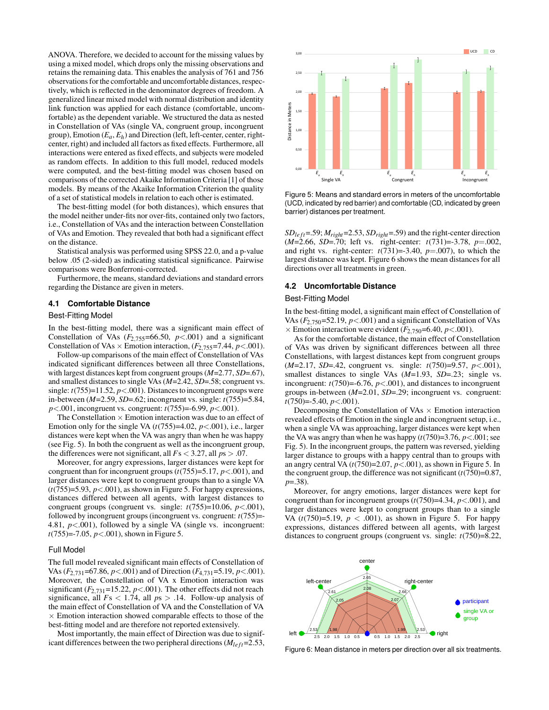ANOVA. Therefore, we decided to account for the missing values by using a mixed model, which drops only the missing observations and retains the remaining data. This enables the analysis of 761 and 756 observations for the comfortable and uncomfortable distances, respectively, which is reflected in the denominator degrees of freedom. A generalized linear mixed model with normal distribution and identity link function was applied for each distance (comfortable, uncomfortable) as the dependent variable. We structured the data as nested in Constellation of VAs (single VA, congruent group, incongruent group), Emotion (*Ea*, *Eh*) and Direction (left, left-center, center, rightcenter, right) and included all factors as fixed effects. Furthermore, all interactions were entered as fixed effects, and subjects were modeled as random effects. In addition to this full model, reduced models were computed, and the best-fitting model was chosen based on comparisons of the corrected Akaike Information Criteria [\[1\]](#page-6-21) of those models. By means of the Akaike Information Criterion the quality of a set of statistical models in relation to each other is estimated.

The best-fitting model (for both distances), which ensures that the model neither under-fits nor over-fits, contained only two factors, i.e., Constellation of VAs and the interaction between Constellation of VAs and Emotion. They revealed that both had a significant effect on the distance.

Statistical analysis was performed using SPSS 22.0, and a p-value below .05 (2-sided) as indicating statistical significance. Pairwise comparisons were Bonferroni-corrected.

Furthermore, the means, standard deviations and standard errors regarding the Distance are given in meters.

#### **4.1 Comfortable Distance**

#### Best-Fitting Model

In the best-fitting model, there was a significant main effect of Constellation of VAs  $(F_{2,755} = 66.50, p < .001)$  and a significant Constellation of VAs  $\times$  Emotion interaction,  $(F_{2,755}=7.44, p<.001)$ .

Follow-up comparisons of the main effect of Constellation of VAs indicated significant differences between all three Constellations, with largest distances kept from congruent groups (*M*=2.77, *SD*=.67), and smallest distances to single VAs (*M*=2.42, *SD*=.58; congruent vs. single:  $t(755)=11.52$ ,  $p<-0.01$ ). Distances to incongruent groups were in-between (*M*=2.59, *SD*=.62; incongruent vs. single: *t*(755)=5.84, *p*<.001, incongruent vs. congruent: *t*(755)=-6.99, *p*<.001).

The Constellation  $\times$  Emotion interaction was due to an effect of Emotion only for the single VA  $(t(755)=4.02, p<.001)$ , i.e., larger distances were kept when the VA was angry than when he was happy (see Fig. [5\)](#page-4-0). In both the congruent as well as the incongruent group, the differences were not significant, all  $Fs < 3.27$ , all  $ps > .07$ .

Moreover, for angry expressions, larger distances were kept for congruent than for incongruent groups (*t*(755)=5.17, *p*<.001), and larger distances were kept to congruent groups than to a single VA  $(t(755)=5.93, p<.001)$ , as shown in Figure [5.](#page-4-0) For happy expressions, distances differed between all agents, with largest distances to congruent groups (congruent vs. single: *t*(755)=10.06, *p*<.001), followed by incongruent groups (incongruent vs. congruent:  $t(755)=$ 4.81, *p*<.001), followed by a single VA (single vs. incongruent: *t*(755)=-7.05, *p*<.001), shown in Figure [5.](#page-4-0)

# Full Model

The full model revealed significant main effects of Constellation of VAs (*F*2,731=67.86, *p*<.001) and of Direction (*F*4,731=5.19, *p*<.001). Moreover, the Constellation of VA x Emotion interaction was significant  $(F_2, T_3, T_1=15.22, p<.001)$ . The other effects did not reach significance, all  $Fs < 1.74$ , all  $ps > .14$ . Follow-up analysis of the main effect of Constellation of VA and the Constellation of VA  $\times$  Emotion interaction showed comparable effects to those of the best-fitting model and are therefore not reported extensively.

Most importantly, the main effect of Direction was due to significant differences between the two peripheral directions  $(M_{left} = 2.53)$ ,



<span id="page-4-0"></span>Figure 5: Means and standard errors in meters of the uncomfortable (UCD, indicated by red barrier) and comfortable (CD, indicated by green barrier) distances per treatment.

 $SD_{left}$ =.59;  $M_{right}$ =2.53,  $SD_{right}$ =.59) and the right-center direction (*M*=2.66, *SD*=.70; left vs. right-center: *t*(731)=-3.78, *p*=.002, and right vs. right-center:  $t(731)=3.40$ ,  $p=.007$ ), to which the largest distance was kept. Figure [6](#page-4-1) shows the mean distances for all directions over all treatments in green.

# **4.2 Uncomfortable Distance**

## Best-Fitting Model

In the best-fitting model, a significant main effect of Constellation of VAs (*F*2,750=52.19, *p*<.001) and a significant Constellation of VAs  $\times$  Emotion interaction were evident ( $F_{2,750}$ =6.40, *p*<.001).

As for the comfortable distance, the main effect of Constellation of VAs was driven by significant differences between all three Constellations, with largest distances kept from congruent groups (*M*=2.17, *SD*=.42, congruent vs. single: *t*(750)=9.57, *p*<.001), smallest distances to single VAs (*M*=1.93, *SD*=.23; single vs. incongruent:  $t(750)=-6.76$ ,  $p<-0.01$ ), and distances to incongruent groups in-between (*M*=2.01, *SD*=.29; incongruent vs. congruent: *t*(750)=-5.40, *p*<.001).

Decomposing the Constellation of  $VAs \times E$ motion interaction revealed effects of Emotion in the single and incongruent setup, i.e., when a single VA was approaching, larger distances were kept when the VA was angry than when he was happy  $(t(750)=3.76, p<.001$ ; see Fig. [5\)](#page-4-0). In the incongruent groups, the pattern was reversed, yielding larger distance to groups with a happy central than to groups with an angry central VA  $(t(750)=2.07, p<0.01)$ , as shown in Figure [5.](#page-4-0) In the congruent group, the difference was not significant  $(t(750)=0.87$ , *p*=.38).

Moreover, for angry emotions, larger distances were kept for congruent than for incongruent groups (*t*(750)=4.34, *p*<.001), and larger distances were kept to congruent groups than to a single VA  $(t(750)=5.19, p < .001)$ , as shown in Figure [5.](#page-4-0) For happy expressions, distances differed between all agents, with largest distances to congruent groups (congruent vs. single: *t*(750)=8.22,



<span id="page-4-1"></span>Figure 6: Mean distance in meters per direction over all six treatments.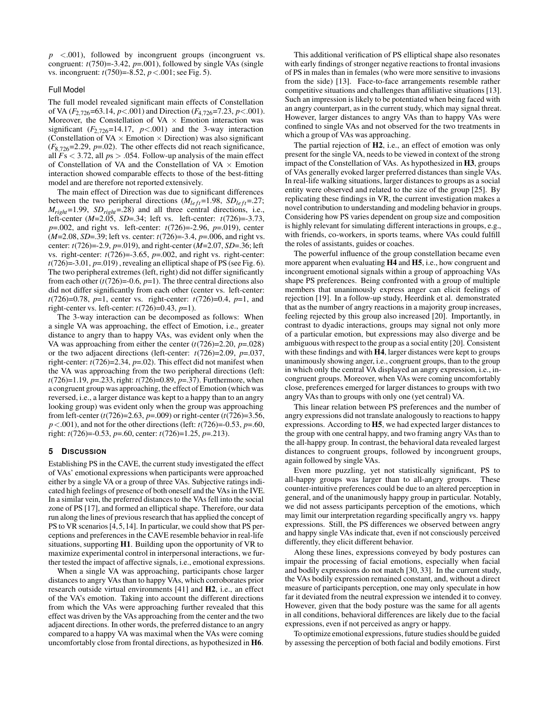*p* <.001), followed by incongruent groups (incongruent vs. congruent:  $t(750)=3.42$ ,  $p=.001$ ), followed by single VAs (single vs. incongruent: *t*(750)=-8.52, *p*<.001; see Fig. [5\)](#page-4-0).

# Full Model

The full model revealed significant main effects of Constellation of VA (*F*2,726=63.14, *p*<.001) and Direction (*F*4,726=7.23, *p*<.001). Moreover, the Constellation of VA  $\times$  Emotion interaction was significant  $(F_{2,726}=14.17, p<.001)$  and the 3-way interaction (Constellation of VA  $\times$  Emotion  $\times$  Direction) was also significant  $(F_{8,726}=2.29, p=.02)$ . The other effects did not reach significance, all  $Fs < 3.72$ , all  $ps > .054$ . Follow-up analysis of the main effect of Constellation of VA and the Constellation of VA  $\times$  Emotion interaction showed comparable effects to those of the best-fitting model and are therefore not reported extensively.

The main effect of Direction was due to significant differences between the two peripheral directions  $(M_{left} = 1.98, SD_{left} = .27;$  $M_{right}$ =1.99, *SD*<sub>right</sub>=.28) and all three central directions, i.e., left-center (*M*=2.05, *SD*=.34; left vs. left-center: *t*(726)=-3.73, *p*=.002, and right vs. left-center: *t*(726)=-2.96, *p*=.019), center (*M*=2.08, *SD*=.39; left vs. center: *t*(726)=-3.4, *p*=.006, and right vs. center: *t*(726)=-2.9, *p*=.019), and right-center (*M*=2.07, *SD*=.36; left vs. right-center:  $t(726)=3.65$ ,  $p=.002$ , and right vs. right-center: *t*(726)=-3.01, *p*=.019) , revealing an elliptical shape of PS (see Fig. [6\)](#page-4-1). The two peripheral extremes (left, right) did not differ significantly from each other  $(t(726)=0.6, p=1)$ . The three central directions also did not differ significantly from each other (center vs. left-center: *t*(726)=0.78, *p*=1, center vs. right-center: *t*(726)=0.4, *p*=1, and right-center vs. left-center: *t*(726)=0.43, *p*=1).

The 3-way interaction can be decomposed as follows: When a single VA was approaching, the effect of Emotion, i.e., greater distance to angry than to happy VAs, was evident only when the VA was approaching from either the center (*t*(726)=2.20, *p*=.028) or the two adjacent directions (left-center: *t*(726)=2.09, *p*=.037, right-center: *t*(726)=2.34, *p*=.02). This effect did not manifest when the VA was approaching from the two peripheral directions (left: *t*(726)=1.19, *p*=.233, right: *t*(726)=0.89, *p*=.37). Furthermore, when a congruent group was approaching, the effect of Emotion (which was reversed, i.e., a larger distance was kept to a happy than to an angry looking group) was evident only when the group was approaching from left-center (*t*(726)=2.63, *p*=.009) or right-center (*t*(726)=3.56, *p*<.001), and not for the other directions (left: *t*(726)=-0.53, *p*=.60, right: *t*(726)=-0.53, *p*=.60, center: *t*(726)=1.25, *p*=.213).

# <span id="page-5-0"></span>**5 DISCUSSION**

Establishing PS in the CAVE, the current study investigated the effect of VAs' emotional expressions when participants were approached either by a single VA or a group of three VAs. Subjective ratings indicated high feelings of presence of both oneself and the VAs in the IVE. In a similar vein, the preferred distances to the VAs fell into the social zone of PS [\[17\]](#page-6-4), and formed an elliptical shape. Therefore, our data run along the lines of previous research that has applied the concept of PS to VR scenarios [\[4,](#page-6-7) [5,](#page-6-8) [14\]](#page-6-6). In particular, we could show that PS perceptions and preferences in the CAVE resemble behavior in real-life situations, supporting H1. Building upon the opportunity of VR to maximize experimental control in interpersonal interactions, we further tested the impact of affective signals, i.e., emotional expressions.

When a single VA was approaching, participants chose larger distances to angry VAs than to happy VAs, which corroborates prior research outside virtual environments [\[41\]](#page-7-9) and H2, i.e., an effect of the VA's emotion. Taking into account the different directions from which the VAs were approaching further revealed that this effect was driven by the VAs approaching from the center and the two adjacent directions. In other words, the preferred distance to an angry compared to a happy VA was maximal when the VAs were coming uncomfortably close from frontal directions, as hypothesized in H6.

This additional verification of PS elliptical shape also resonates with early findings of stronger negative reactions to frontal invasions of PS in males than in females (who were more sensitive to invasions from the side) [\[13\]](#page-6-22). Face-to-face arrangements resemble rather competitive situations and challenges than affiliative situations [\[13\]](#page-6-22). Such an impression is likely to be potentiated when being faced with an angry counterpart, as in the current study, which may signal threat. However, larger distances to angry VAs than to happy VAs were confined to single VAs and not observed for the two treatments in which a group of VAs was approaching.

The partial rejection of H2, i.e., an effect of emotion was only present for the single VA, needs to be viewed in context of the strong impact of the Constellation of VAs. As hypothesized in H3, groups of VAs generally evoked larger preferred distances than single VAs. In real-life walking situations, larger distances to groups as a social entity were observed and related to the size of the group [\[25\]](#page-6-23). By replicating these findings in VR, the current investigation makes a novel contribution to understanding and modeling behavior in groups. Considering how PS varies dependent on group size and composition is highly relevant for simulating different interactions in groups, e.g., with friends, co-workers, in sports teams, where VAs could fulfill the roles of assistants, guides or coaches.

The powerful influence of the group constellation became even more apparent when evaluating H4 and H5, i.e., how congruent and incongruent emotional signals within a group of approaching VAs shape PS preferences. Being confronted with a group of multiple members that unanimously express anger can elicit feelings of rejection [\[19\]](#page-6-24). In a follow-up study, Heerdink et al. demonstrated that as the number of angry reactions in a majority group increases, feeling rejected by this group also increased [\[20\]](#page-6-25). Importantly, in contrast to dyadic interactions, groups may signal not only more of a particular emotion, but expressions may also diverge and be ambiguous with respect to the group as a social entity [\[20\]](#page-6-25). Consistent with these findings and with **H4**, larger distances were kept to groups unanimously showing anger, i.e., congruent groups, than to the group in which only the central VA displayed an angry expression, i.e., incongruent groups. Moreover, when VAs were coming uncomfortably close, preferences emerged for larger distances to groups with two angry VAs than to groups with only one (yet central) VA.

This linear relation between PS preferences and the number of angry expressions did not translate analogously to reactions to happy expressions. According to H5, we had expected larger distances to the group with one central happy, and two framing angry VAs than to the all-happy group. In contrast, the behavioral data revealed largest distances to congruent groups, followed by incongruent groups, again followed by single VAs.

Even more puzzling, yet not statistically significant, PS to all-happy groups was larger than to all-angry groups. These counter-intuitive preferences could be due to an altered perception in general, and of the unanimously happy group in particular. Notably, we did not assess participants perception of the emotions, which may limit our interpretation regarding specifically angry vs. happy expressions. Still, the PS differences we observed between angry and happy single VAs indicate that, even if not consciously perceived differently, they elicit different behavior.

Along these lines, expressions conveyed by body postures can impair the processing of facial emotions, especially when facial and bodily expressions do not match [\[30,](#page-7-12) [33\]](#page-7-13). In the current study, the VAs bodily expression remained constant, and, without a direct measure of participants perception, one may only speculate in how far it deviated from the neutral expression we intended it to convey. However, given that the body posture was the same for all agents in all conditions, behavioral differences are likely due to the facial expressions, even if not perceived as angry or happy.

To optimize emotional expressions, future studies should be guided by assessing the perception of both facial and bodily emotions. First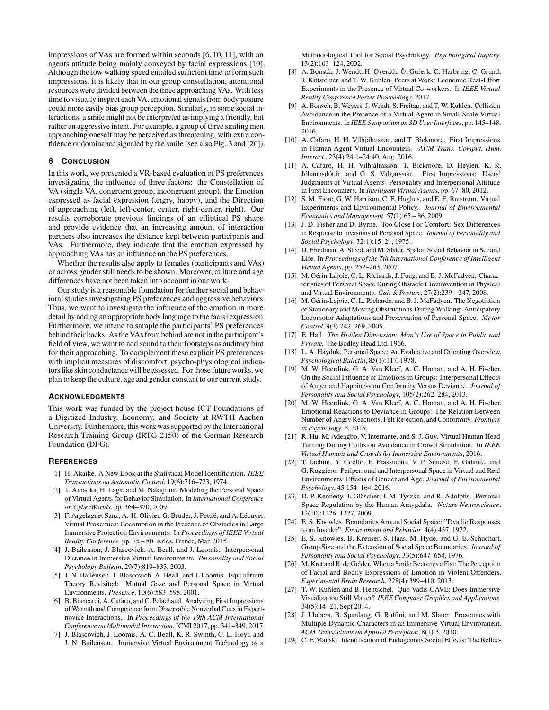impressions of VAs are formed within seconds [\[6,](#page-6-26) [10,](#page-6-27) [11\]](#page-6-28), with an agents attitude being mainly conveyed by facial expressions [\[10\]](#page-6-27). Although the low walking speed entailed sufficient time to form such impressions, it is likely that in our group constellation, attentional resources were divided between the three approaching VAs. With less time to visually inspect each VA, emotional signals from body posture could more easily bias group perception. Similarly, in some social interactions, a smile might not be interpreted as implying a friendly, but rather an aggressive intent. For example, a group of three smiling men approaching oneself may be perceived as threatening, with extra confidence or dominance signaled by the smile (see also Fig. 3 and [\[26\]](#page-6-29)).

# <span id="page-6-10"></span>**6 CONCLUSION**

In this work, we presented a VR-based evaluation of PS preferences investigating the influence of three factors: the Constellation of VA (single VA, congruent group, incongruent group), the Emotion expressed as facial expression (angry, happy), and the Direction of approaching (left, left-center, center, right-center, right). Our results corroborate previous findings of an elliptical PS shape and provide evidence that an increasing amount of interaction partners also increases the distance kept between participants and VAs. Furthermore, they indicate that the emotion expressed by approaching VAs has an influence on the PS preferences.

Whether the results also apply to females (participants and VAs) or across gender still needs to be shown. Moreover, culture and age differences have not been taken into account in our work.

Our study is a reasonable foundation for further social and behavioral studies investigating PS preferences and aggressive behaviors. Thus, we want to investigate the influence of the emotion in more detail by adding an appropriate body language to the facial expression. Furthermore, we intend to sample the participants' PS preferences behind their backs. As the VAs from behind are not in the participant's field of view, we want to add sound to their footsteps as auditory hint for their approaching. To complement these explicit PS preferences with implicit measures of discomfort, psycho-physiological indicators like skin conductance will be assessed. For those future works, we plan to keep the culture, age and gender constant to our current study.

#### **ACKNOWLEDGMENTS**

This work was funded by the project house ICT Foundations of a Digitized Industry, Economy, and Society at RWTH Aachen University. Furthermore, this work was supported by the International Research Training Group (IRTG 2150) of the German Research Foundation (DFG).

# **REFERENCES**

- <span id="page-6-21"></span>[1] H. Akaike. A New Look at the Statistical Model Identification. *IEEE Transactions on Automatic Control*, 19(6):716–723, 1974.
- <span id="page-6-11"></span>[2] T. Amaoka, H. Laga, and M. Nakajima. Modeling the Personal Space of Virtual Agents for Behavior Simulation. In *International Conference on CyberWorlds*, pp. 364–370, 2009.
- <span id="page-6-9"></span>[3] F. Argelaguet Sanz, A.-H. Olivier, G. Bruder, J. Pettré, and A. Lécuyer. Virtual Proxemics: Locomotion in the Presence of Obstacles in Large Immersive Projection Environments. In *Proceedings of IEEE Virtual Reality Conference*, pp. 75 – 80. Arles, France, Mar. 2015.
- <span id="page-6-7"></span>[4] J. Bailenson, J. Blascovich, A. Beall, and J. Loomis. Interpersonal Distance in Immersive Virtual Environments. *Personality and Social Psychology Bulletin*, 29(7):819–833, 2003.
- <span id="page-6-8"></span>[5] J. N. Bailenson, J. Blascovich, A. Beall, and J. Loomis. Equilibrium Theory Revisited: Mutual Gaze and Personal Space in Virtual Environments. *Presence*, 10(6):583–598, 2001.
- <span id="page-6-26"></span>[6] B. Biancardi, A. Cafaro, and C. Pelachaud. Analyzing First Impressions of Warmth and Competence from Observable Nonverbal Cues in Expertnovice Interactions. In *Proceedings of the 19th ACM International Conference on Multimodal Interaction*, ICMI 2017, pp. 341–349, 2017.
- <span id="page-6-0"></span>[7] J. Blascovich, J. Loomis, A. C. Beall, K. R. Swinth, C. L. Hoyt, and J. N. Bailenson. Immersive Virtual Environment Technology as a

Methodological Tool for Social Psychology. *Psychological Inquiry*, 13(2):103–124, 2002.

- <span id="page-6-3"></span>[8] A. Bönsch, J. Wendt, H. Overath, Ö. Gürerk, C. Harbring, C. Grund, T. Kittsteiner, and T. W. Kuhlen. Peers at Work: Economic Real-Effort Experiments in the Presence of Virtual Co-workers. In *IEEE Virtual Reality Conference Poster Proceedings*, 2017.
- <span id="page-6-17"></span>[9] A. Bönsch, B. Weyers, J. Wendt, S. Freitag, and T. W. Kuhlen. Collision Avoidance in the Presence of a Virtual Agent in Small-Scale Virtual Environments. In *IEEE Symposium on 3D User Interfaces*, pp. 145–148, 2016.
- <span id="page-6-27"></span>[10] A. Cafaro, H. H. Vilhjálmsson, and T. Bickmore. First Impressions in Human-Agent Virtual Encounters. *ACM Trans. Comput.-Hum. Interact.*, 23(4):24:1–24:40, Aug. 2016.
- <span id="page-6-28"></span>[11] A. Cafaro, H. H. Vilhjálmsson, T. Bickmore, D. Heylen, K. R. Jóhannsdóttir, and G. S. Valgarsson. First Impressions: Users' Judgments of Virtual Agents' Personality and Interpersonal Attitude in First Encounters. In *Intelligent Virtual Agents*, pp. 67–80, 2012.
- <span id="page-6-1"></span>[12] S. M. Fiore, G. W. Harrison, C. E. Hughes, and E. E. Rutström. Virtual Experiments and Environmental Policy. *Journal of Environmental Economics and Management*, 57(1):65 – 86, 2009.
- <span id="page-6-22"></span>[13] J. D. Fisher and D. Byrne. Too Close For Comfort: Sex Differences in Response to Invasions of Personal Space. *Journal of Personality and Social Psychology*, 32(1):15–21, 1975.
- <span id="page-6-6"></span>[14] D. Friedman, A. Steed, and M. Slater. Spatial Social Behavior in Second Life. In *Proceedings of the 7th International Conference of Intelligent Virtual Agents*, pp. 252–263, 2007.
- <span id="page-6-5"></span>[15] M. Gérin-Lajoie, C. L. Richards, J. Fung, and B. J. McFadyen. Characteristics of Personal Space During Obstacle Circumvention in Physical and Virtual Environments. *Gait & Posture*, 27(2):239 – 247, 2008.
- <span id="page-6-13"></span>[16] M. Gérin-Lajoie, C. L. Richards, and B. J. McFadyen. The Negotiation of Stationary and Moving Obstructions During Walking: Anticipatory Locomotor Adaptations and Preservation of Personal Space. *Motor Control*, 9(3):242–269, 2005.
- <span id="page-6-4"></span>[17] E. Hall. *The Hidden Dimension: Man's Use of Space in Public and Private.* The Bodley Head Ltd, 1966.
- <span id="page-6-12"></span>[18] L. A. Hayduk. Personal Space: An Evaluative and Orienting Overview. *Psychological Bulletin*, 85(1):117, 1978.
- <span id="page-6-24"></span>[19] M. W. Heerdink, G. A. Van Kleef, A. C. Homan, and A. H. Fischer. On the Social Influence of Emotions in Groups: Interpersonal Effects of Anger and Happiness on Conformity Versus Deviance. *Journal of Personality and Social Psychology*, 105(2):262–284, 2013.
- <span id="page-6-25"></span>[20] M. W. Heerdink, G. A. Van Kleef, A. C. Homan, and A. H. Fischer. Emotional Reactions to Deviance in Groups: The Relation Between Number of Angry Reactions, Felt Rejection, and Conformity. *Frontiers in Psychology*, 6, 2015.
- <span id="page-6-18"></span>[21] R. Hu, M. Adeagbo, V. Interrante, and S. J. Guy. Virtual Human Head Turning During Collision Avoidance in Crowd Simulation. In *IEEE Virtual Humans and Crowds for Immersive Environments*, 2016.
- <span id="page-6-14"></span>[22] T. Iachini, Y. Coello, F. Frassinetti, V. P. Senese, F. Galante, and G. Ruggiero. Peripersonal and Interpersonal Space in Virtual and Real Environments: Effects of Gender and Age. *Journal of Environmental Psychology*, 45:154–164, 2016.
- <span id="page-6-15"></span>[23] D. P. Kennedy, J. Gläscher, J. M. Tyszka, and R. Adolphs. Personal Space Regulation by the Human Amygdala. *Nature Neuroscience*, 12(10):1226–1227, 2009.
- <span id="page-6-19"></span>[24] E. S. Knowles. Boundaries Around Social Space: "Dyadic Responses to an Invader". *Environment and Behavior*, 4(4):437, 1972.
- <span id="page-6-23"></span>[25] E. S. Knowles, B. Kreuser, S. Haas, M. Hyde, and G. E. Schuchart. Group Size and the Extension of Social Space Boundaries. *Journal of Personality and Social Psychology*, 33(5):647–654, 1976.
- <span id="page-6-29"></span>[26] M. Kret and B. de Gelder. When a Smile Becomes a Fist: The Perception of Facial and Bodily Expressions of Emotion in Violent Offenders. *Experimental Brain Research*, 228(4):399–410, 2013.
- <span id="page-6-20"></span>[27] T. W. Kuhlen and B. Hentschel. Quo Vadis CAVE: Does Immersive Visualization Still Matter? *IEEE Computer Graphics and Applications*, 34(5):14–21, Sept 2014.
- <span id="page-6-16"></span>[28] J. Llobera, B. Spanlang, G. Ruffini, and M. Slater. Proxemics with Multiple Dynamic Characters in an Immersive Virtual Environment. *ACM Transactions on Applied Perception*, 8(1):3, 2010.
- <span id="page-6-2"></span>[29] C. F. Manski. Identification of Endogenous Social Effects: The Reflec-